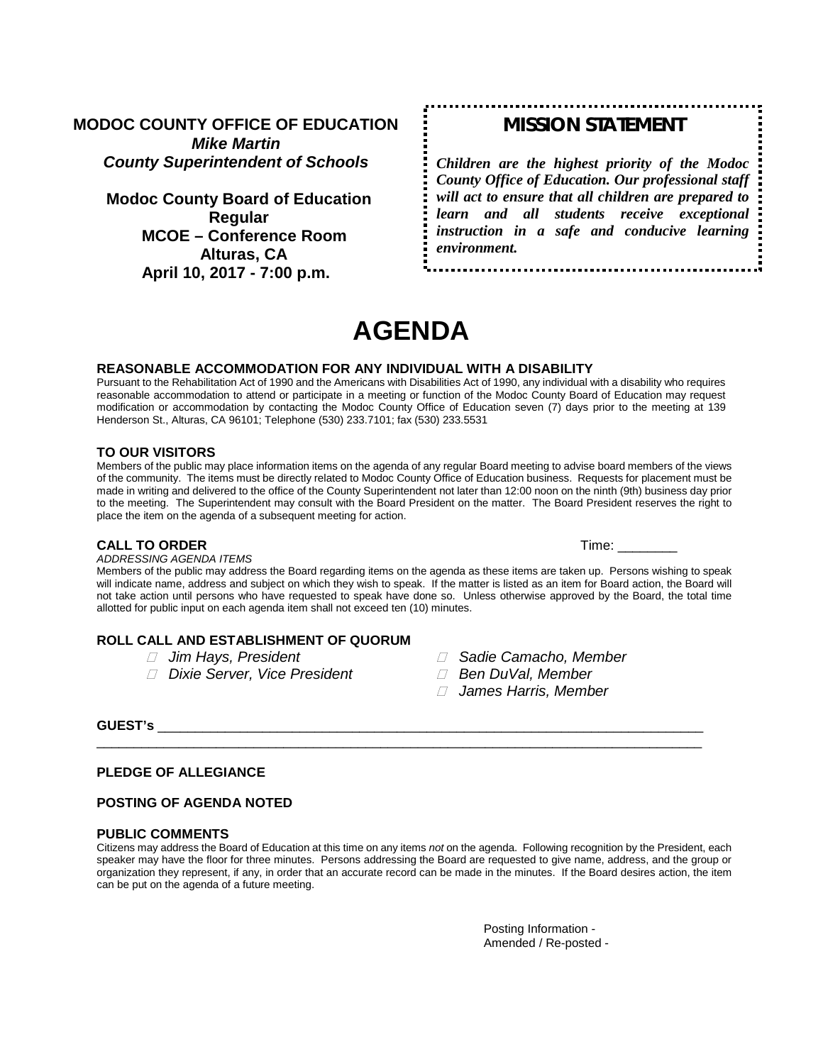**MODOC COUNTY OFFICE OF EDUCATION** *Mike Martin County Superintendent of Schools*

**Modoc County Board of Education Regular MCOE – Conference Room Alturas, CA April 10, 2017 - 7:00 p.m.**

# *MISSION STATEMENT*

*Children are the highest priority of the Modoc County Office of Education. Our professional staff will act to ensure that all children are prepared to learn and all students receive exceptional instruction in a safe and conducive learning environment.*

# **AGENDA**

#### **REASONABLE ACCOMMODATION FOR ANY INDIVIDUAL WITH A DISABILITY**

Pursuant to the Rehabilitation Act of 1990 and the Americans with Disabilities Act of 1990, any individual with a disability who requires reasonable accommodation to attend or participate in a meeting or function of the Modoc County Board of Education may request modification or accommodation by contacting the Modoc County Office of Education seven (7) days prior to the meeting at 139 Henderson St., Alturas, CA 96101; Telephone (530) 233.7101; fax (530) 233.5531

#### **TO OUR VISITORS**

Members of the public may place information items on the agenda of any regular Board meeting to advise board members of the views of the community. The items must be directly related to Modoc County Office of Education business. Requests for placement must be made in writing and delivered to the office of the County Superintendent not later than 12:00 noon on the ninth (9th) business day prior to the meeting. The Superintendent may consult with the Board President on the matter. The Board President reserves the right to place the item on the agenda of a subsequent meeting for action.

#### **CALL TO ORDER** Time: \_\_\_\_\_\_\_\_

#### *ADDRESSING AGENDA ITEMS*

Members of the public may address the Board regarding items on the agenda as these items are taken up. Persons wishing to speak will indicate name, address and subject on which they wish to speak. If the matter is listed as an item for Board action, the Board will not take action until persons who have requested to speak have done so. Unless otherwise approved by the Board, the total time allotted for public input on each agenda item shall not exceed ten (10) minutes.

# **ROLL CALL AND ESTABLISHMENT OF QUORUM**<br>*I* Jim Hays, President

- 
- *Dixie Server, Vice President Ben DuVal, Member*
- *Jim Hays, President Sadie Camacho, Member*
	-
	- *James Harris, Member*

#### **GUEST's** \_\_\_\_\_\_\_\_\_\_\_\_\_\_\_\_\_\_\_\_\_\_\_\_\_\_\_\_\_\_\_\_\_\_\_\_\_\_\_\_\_\_\_\_\_\_\_\_\_\_\_\_\_\_\_\_\_\_\_\_\_\_\_\_\_\_\_\_\_\_\_\_\_

#### **PLEDGE OF ALLEGIANCE**

#### **POSTING OF AGENDA NOTED**

#### **PUBLIC COMMENTS**

Citizens may address the Board of Education at this time on any items *not* on the agenda. Following recognition by the President, each speaker may have the floor for three minutes. Persons addressing the Board are requested to give name, address, and the group or organization they represent, if any, in order that an accurate record can be made in the minutes. If the Board desires action, the item can be put on the agenda of a future meeting.

\_\_\_\_\_\_\_\_\_\_\_\_\_\_\_\_\_\_\_\_\_\_\_\_\_\_\_\_\_\_\_\_\_\_\_\_\_\_\_\_\_\_\_\_\_\_\_\_\_\_\_\_\_\_\_\_\_\_\_\_\_\_\_\_\_\_\_\_\_\_\_\_\_\_\_\_\_\_\_\_\_

Posting Information - Amended / Re-posted -